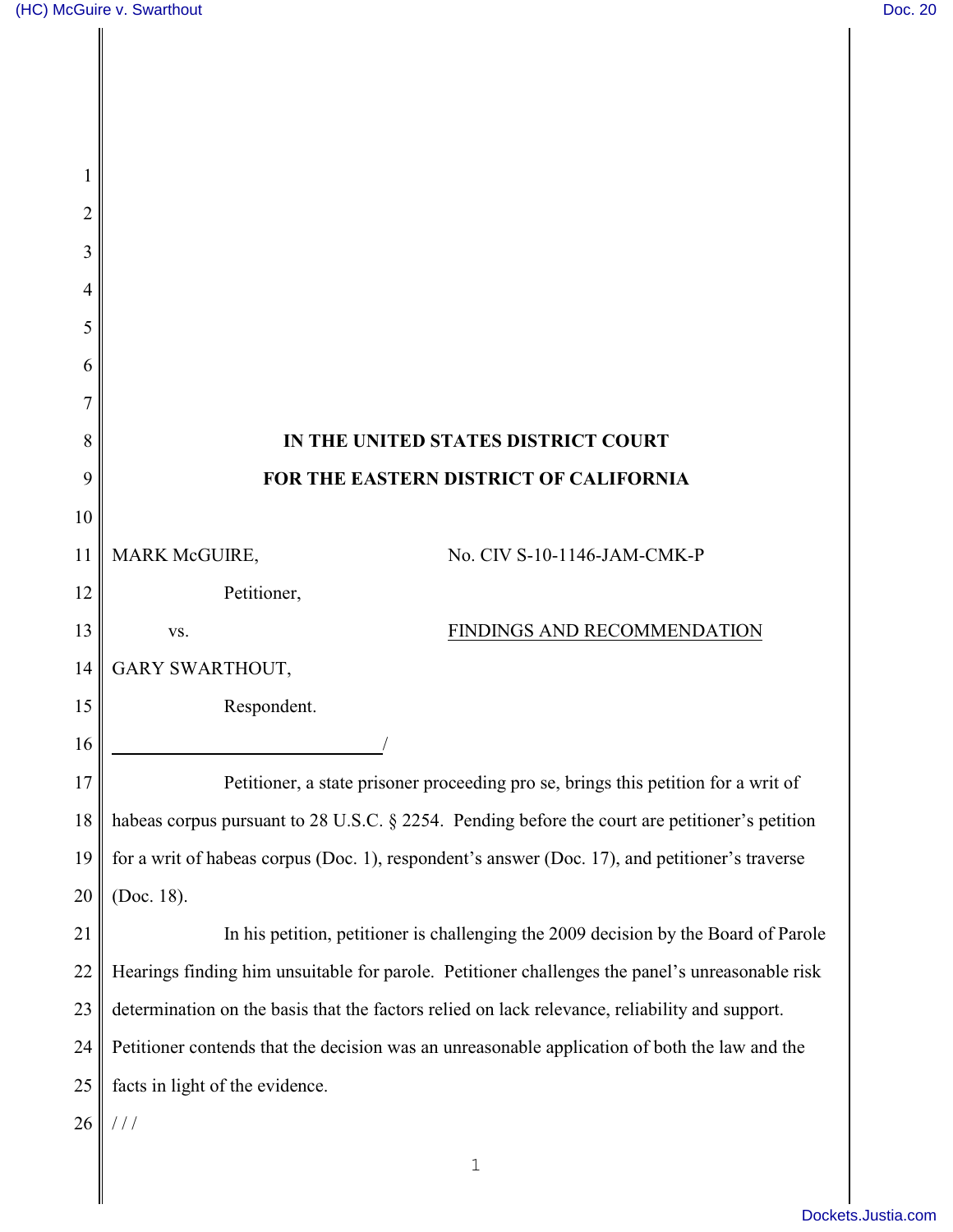$\mathbf{I}$ 

| 1              |                                                                                                 |
|----------------|-------------------------------------------------------------------------------------------------|
| $\overline{2}$ |                                                                                                 |
| 3              |                                                                                                 |
| 4              |                                                                                                 |
| 5              |                                                                                                 |
| 6              |                                                                                                 |
|                |                                                                                                 |
| 8              | IN THE UNITED STATES DISTRICT COURT                                                             |
| 9              | FOR THE EASTERN DISTRICT OF CALIFORNIA                                                          |
| 10             |                                                                                                 |
| 11             | MARK McGUIRE,<br>No. CIV S-10-1146-JAM-CMK-P                                                    |
| 12             | Petitioner,                                                                                     |
| 13             | FINDINGS AND RECOMMENDATION<br>VS.                                                              |
| 14             | GARY SWARTHOUT,                                                                                 |
| 15             | Respondent.                                                                                     |
| 16             |                                                                                                 |
| 17             | Petitioner, a state prisoner proceeding pro se, brings this petition for a writ of              |
| 18             | habeas corpus pursuant to 28 U.S.C. § 2254. Pending before the court are petitioner's petition  |
| 19             | for a writ of habeas corpus (Doc. 1), respondent's answer (Doc. 17), and petitioner's traverse  |
| 20             | (Doc. 18).                                                                                      |
| 21             | In his petition, petitioner is challenging the 2009 decision by the Board of Parole             |
| 22             | Hearings finding him unsuitable for parole. Petitioner challenges the panel's unreasonable risk |
| 23             | determination on the basis that the factors relied on lack relevance, reliability and support.  |
| 24             | Petitioner contends that the decision was an unreasonable application of both the law and the   |
| 25             | facts in light of the evidence.                                                                 |
| 26             | 111                                                                                             |
|                | $\mathbf{1}$                                                                                    |
|                |                                                                                                 |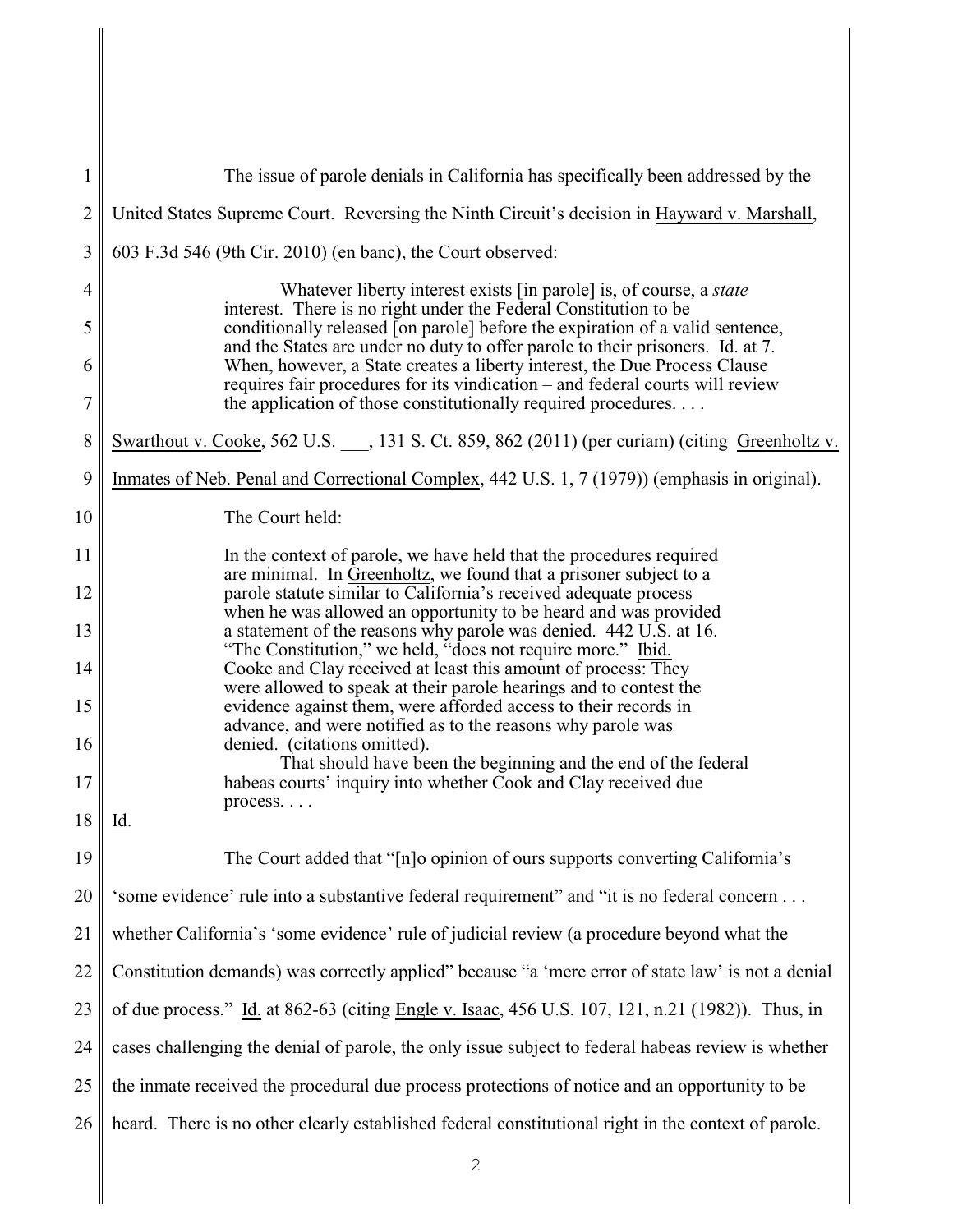| 1      | The issue of parole denials in California has specifically been addressed by the                                                                                                                                            |
|--------|-----------------------------------------------------------------------------------------------------------------------------------------------------------------------------------------------------------------------------|
| 2      | United States Supreme Court. Reversing the Ninth Circuit's decision in Hayward v. Marshall,                                                                                                                                 |
| 3      | 603 F.3d 546 (9th Cir. 2010) (en banc), the Court observed:                                                                                                                                                                 |
| 4      | Whatever liberty interest exists [in parole] is, of course, a <i>state</i><br>interest. There is no right under the Federal Constitution to be                                                                              |
| 5      | conditionally released [on parole] before the expiration of a valid sentence,<br>and the States are under no duty to offer parole to their prisoners. Id. at 7.                                                             |
| 6<br>7 | When, however, a State creates a liberty interest, the Due Process Clause<br>requires fair procedures for its vindication - and federal courts will review<br>the application of those constitutionally required procedures |
| 8      | Swarthout v. Cooke, 562 U.S. ___, 131 S. Ct. 859, 862 (2011) (per curiam) (citing Greenholtz v.                                                                                                                             |
| 9      | Inmates of Neb. Penal and Correctional Complex, 442 U.S. 1, 7 (1979)) (emphasis in original).                                                                                                                               |
| 10     | The Court held:                                                                                                                                                                                                             |
| 11     | In the context of parole, we have held that the procedures required<br>are minimal. In Greenholtz, we found that a prisoner subject to a                                                                                    |
| 12     | parole statute similar to California's received adequate process<br>when he was allowed an opportunity to be heard and was provided                                                                                         |
| 13     | a statement of the reasons why parole was denied. 442 U.S. at 16.<br>"The Constitution," we held, "does not require more." Ibid.                                                                                            |
| 14     | Cooke and Clay received at least this amount of process: They<br>were allowed to speak at their parole hearings and to contest the                                                                                          |
| 15     | evidence against them, were afforded access to their records in<br>advance, and were notified as to the reasons why parole was                                                                                              |
| 16     | denied. (citations omitted).<br>That should have been the beginning and the end of the federal                                                                                                                              |
| 17     | habeas courts' inquiry into whether Cook and Clay received due<br>process                                                                                                                                                   |
| 18     | <u>Id.</u>                                                                                                                                                                                                                  |
| 19     | The Court added that "[n]o opinion of ours supports converting California's                                                                                                                                                 |
| 20     | 'some evidence' rule into a substantive federal requirement" and "it is no federal concern                                                                                                                                  |
| 21     | whether California's 'some evidence' rule of judicial review (a procedure beyond what the                                                                                                                                   |
| 22     | Constitution demands) was correctly applied" because "a 'mere error of state law' is not a denial                                                                                                                           |
| 23     | of due process." Id. at 862-63 (citing Engle v. Isaac, 456 U.S. 107, 121, n.21 (1982)). Thus, in                                                                                                                            |
| 24     | cases challenging the denial of parole, the only issue subject to federal habeas review is whether                                                                                                                          |
| 25     | the inmate received the procedural due process protections of notice and an opportunity to be                                                                                                                               |
| 26     | heard. There is no other clearly established federal constitutional right in the context of parole.                                                                                                                         |
|        | $\mathbf{2}$                                                                                                                                                                                                                |
|        |                                                                                                                                                                                                                             |